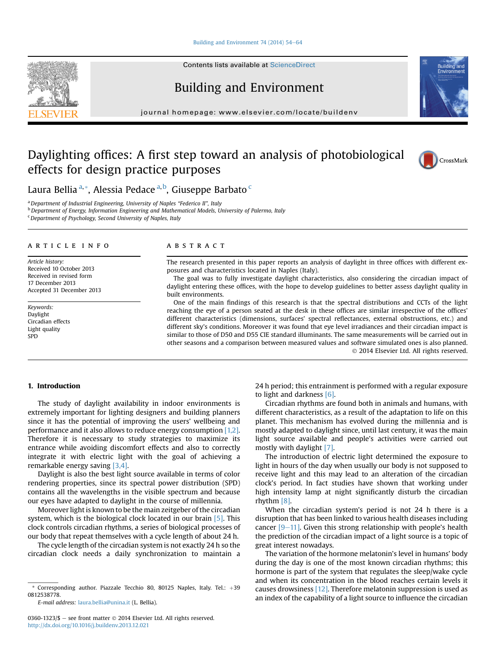#### [Building and Environment 74 \(2014\) 54](http://dx.doi.org/10.1016/j.buildenv.2013.12.021)-[64](http://dx.doi.org/10.1016/j.buildenv.2013.12.021)

Contents lists available at [ScienceDirect](www.sciencedirect.com/science/journal/03601323)

# Building and Environment

journal homepage: [www.elsevier.com/locate/buildenv](http://www.elsevier.com/locate/buildenv)

# Daylighting offices: A first step toward an analysis of photobiological effects for design practice purposes



**Ruilding** 

Laura Bellia <sup>a,</sup>\*, Alessia Pedace <sup>a,b</sup>, Giuseppe Barbato <sup>c</sup>

<sup>a</sup> Department of Industrial Engineering, University of Naples "Federico II", Italy  $b$  Department of Energy, Information Engineering and Mathematical Models, University of Palermo, Italy

<sup>c</sup> Department of Psychology, Second University of Naples, Italy

#### article info

Article history: Received 10 October 2013 Received in revised form 17 December 2013 Accepted 31 December 2013

Keywords: Daylight Circadian effects Light quality SPD

#### **ABSTRACT**

The research presented in this paper reports an analysis of daylight in three offices with different exposures and characteristics located in Naples (Italy).

The goal was to fully investigate daylight characteristics, also considering the circadian impact of daylight entering these offices, with the hope to develop guidelines to better assess daylight quality in built environments.

One of the main findings of this research is that the spectral distributions and CCTs of the light reaching the eye of a person seated at the desk in these offices are similar irrespective of the offices' different characteristics (dimensions, surfaces' spectral reflectances, external obstructions, etc.) and different sky's conditions. Moreover it was found that eye level irradiances and their circadian impact is similar to those of D50 and D55 CIE standard illuminants. The same measurements will be carried out in other seasons and a comparison between measured values and software simulated ones is also planned. 2014 Elsevier Ltd. All rights reserved.

### 1. Introduction

The study of daylight availability in indoor environments is extremely important for lighting designers and building planners since it has the potential of improving the users' wellbeing and performance and it also allows to reduce energy consumption [1,2]. Therefore it is necessary to study strategies to maximize its entrance while avoiding discomfort effects and also to correctly integrate it with electric light with the goal of achieving a remarkable energy saving [3,4].

Daylight is also the best light source available in terms of color rendering properties, since its spectral power distribution (SPD) contains all the wavelengths in the visible spectrum and because our eyes have adapted to daylight in the course of millennia.

Moreover light is known to be the main zeitgeber of the circadian system, which is the biological clock located in our brain [5]. This clock controls circadian rhythms, a series of biological processes of our body that repeat themselves with a cycle length of about 24 h.

The cycle length of the circadian system is not exactly 24 h so the circadian clock needs a daily synchronization to maintain a

E-mail address: [laura.bellia@unina.it](mailto:laura.bellia@unina.it) (L. Bellia).

0360-1323/\$ - see front matter  $\odot$  2014 Elsevier Ltd. All rights reserved. <http://dx.doi.org/10.1016/j.buildenv.2013.12.021>

24 h period; this entrainment is performed with a regular exposure to light and darkness [6].

Circadian rhythms are found both in animals and humans, with different characteristics, as a result of the adaptation to life on this planet. This mechanism has evolved during the millennia and is mostly adapted to daylight since, until last century, it was the main light source available and people's activities were carried out mostly with daylight [7].

The introduction of electric light determined the exposure to light in hours of the day when usually our body is not supposed to receive light and this may lead to an alteration of the circadian clock's period. In fact studies have shown that working under high intensity lamp at night significantly disturb the circadian rhythm [8].

When the circadian system's period is not 24 h there is a disruption that has been linked to various health diseases including cancer  $[9-11]$ . Given this strong relationship with people's health the prediction of the circadian impact of a light source is a topic of great interest nowadays.

The variation of the hormone melatonin's level in humans' body during the day is one of the most known circadian rhythms; this hormone is part of the system that regulates the sleep/wake cycle and when its concentration in the blood reaches certain levels it causes drowsiness [12]. Therefore melatonin suppression is used as an index of the capability of a light source to influence the circadian



<sup>\*</sup> Corresponding author. Piazzale Tecchio 80, 80125 Naples, Italy. Tel.:  $+39$ 0812538778.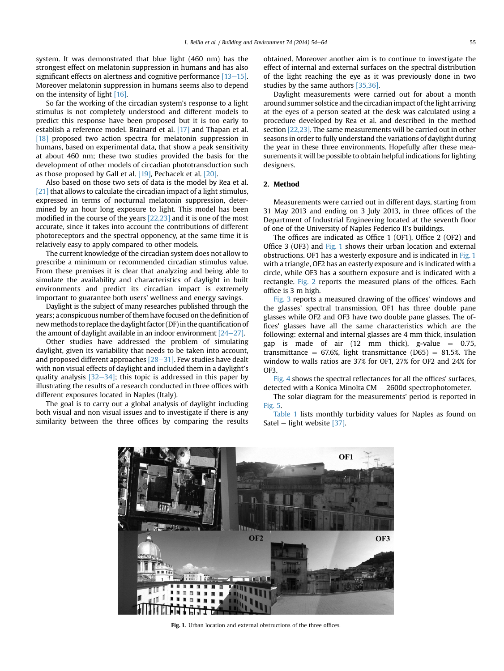system. It was demonstrated that blue light (460 nm) has the strongest effect on melatonin suppression in humans and has also significant effects on alertness and cognitive performance  $[13-15]$ . Moreover melatonin suppression in humans seems also to depend on the intensity of light [16].

So far the working of the circadian system's response to a light stimulus is not completely understood and different models to predict this response have been proposed but it is too early to establish a reference model. Brainard et al. [17] and Thapan et al. [18] proposed two action spectra for melatonin suppression in humans, based on experimental data, that show a peak sensitivity at about 460 nm; these two studies provided the basis for the development of other models of circadian phototransduction such as those proposed by Gall et al. [19], Pechacek et al. [20].

Also based on those two sets of data is the model by Rea et al. [21] that allows to calculate the circadian impact of a light stimulus, expressed in terms of nocturnal melatonin suppression, determined by an hour long exposure to light. This model has been modified in the course of the years [22,23] and it is one of the most accurate, since it takes into account the contributions of different photoreceptors and the spectral opponency, at the same time it is relatively easy to apply compared to other models.

The current knowledge of the circadian system does not allow to prescribe a minimum or recommended circadian stimulus value. From these premises it is clear that analyzing and being able to simulate the availability and characteristics of daylight in built environments and predict its circadian impact is extremely important to guarantee both users' wellness and energy savings.

Daylight is the subject of many researches published through the years; a conspicuous number of them have focused on the definition of newmethods to replace the daylight factor (DF) in the quantification of the amount of daylight available in an indoor environment  $[24-27]$ .

Other studies have addressed the problem of simulating daylight, given its variability that needs to be taken into account, and proposed different approaches  $[28-31]$ . Few studies have dealt with non visual effects of daylight and included them in a daylight's quality analysis  $[32-34]$ ; this topic is addressed in this paper by illustrating the results of a research conducted in three offices with different exposures located in Naples (Italy).

The goal is to carry out a global analysis of daylight including both visual and non visual issues and to investigate if there is any similarity between the three offices by comparing the results obtained. Moreover another aim is to continue to investigate the effect of internal and external surfaces on the spectral distribution of the light reaching the eye as it was previously done in two studies by the same authors [35,36].

Daylight measurements were carried out for about a month around summer solstice and the circadian impact of the light arriving at the eyes of a person seated at the desk was calculated using a procedure developed by Rea et al. and described in the method section [22,23]. The same measurements will be carried out in other seasons in order to fully understand the variations of daylight during the year in these three environments. Hopefully after these measurements it will be possible to obtain helpful indications for lighting designers.

## 2. Method

Measurements were carried out in different days, starting from 31 May 2013 and ending on 3 July 2013, in three offices of the Department of Industrial Engineering located at the seventh floor of one of the University of Naples Federico II's buildings.

The offices are indicated as Office 1 (OF1), Office 2 (OF2) and Office 3 (OF3) and Fig. 1 shows their urban location and external obstructions. OF1 has a westerly exposure and is indicated in Fig. 1 with a triangle, OF2 has an easterly exposure and is indicated with a circle, while OF3 has a southern exposure and is indicated with a rectangle. Fig. 2 reports the measured plans of the offices. Each office is 3 m high.

Fig. 3 reports a measured drawing of the offices' windows and the glasses' spectral transmission, OF1 has three double pane glasses while OF2 and OF3 have two double pane glasses. The offices' glasses have all the same characteristics which are the following: external and internal glasses are 4 mm thick, insulation gap is made of air  $(12 \text{ mm} \text{ thick})$ , g-value = 0.75, transmittance =  $67.6\%$ , light transmittance (D65) =  $81.5\%$ . The window to walls ratios are 37% for OF1, 27% for OF2 and 24% for OF3.

Fig. 4 shows the spectral reflectances for all the offices' surfaces, detected with a Konica Minolta  $CM - 2600d$  spectrophotometer.

The solar diagram for the measurements' period is reported in Fig. 5.

Table 1 lists monthly turbidity values for Naples as found on Satel  $-$  light website [37].



Fig. 1. Urban location and external obstructions of the three offices.